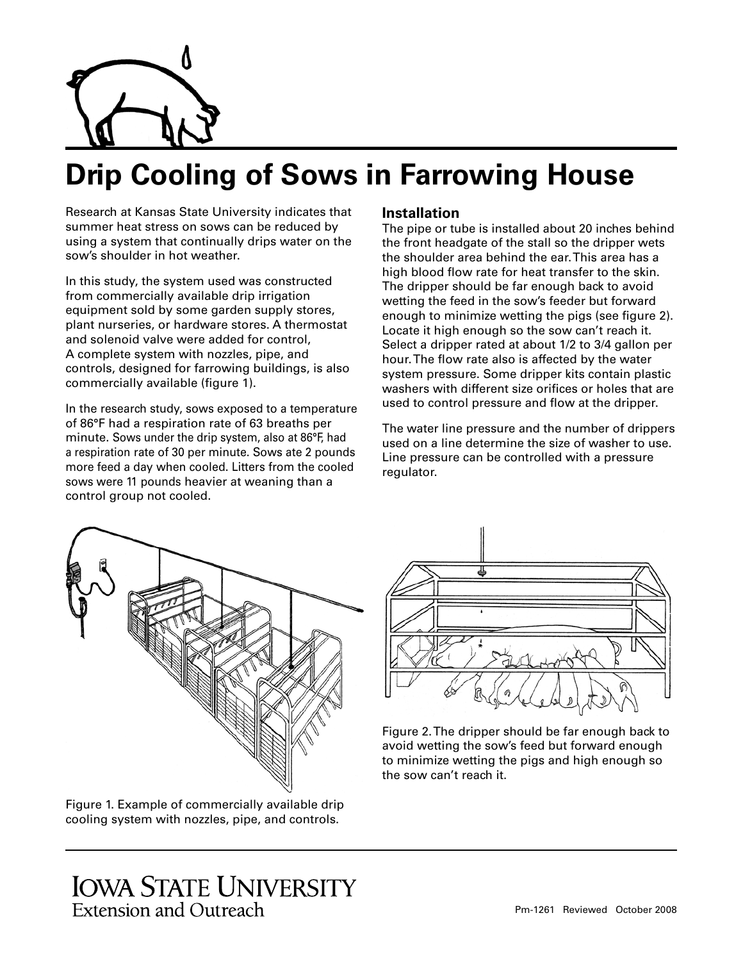

# **Drip Cooling of Sows in Farrowing House**

Research at Kansas State University indicates that summer heat stress on sows can be reduced by using a system that continually drips water on the sow's shoulder in hot weather.

In this study, the system used was constructed from commercially available drip irrigation equipment sold by some garden supply stores, plant nurseries, or hardware stores. A thermostat and solenoid valve were added for control, A complete system with nozzles, pipe, and controls, designed for farrowing buildings, is also commercially available (figure 1).

In the research study, sows exposed to a temperature of 86°F had a respiration rate of 63 breaths per minute. Sows under the drip system, also at 86°F, had a respiration rate of 30 per minute. Sows ate 2 pounds more feed a day when cooled. Litters from the cooled sows were 11 pounds heavier at weaning than a control group not cooled.

#### **Installation**

The pipe or tube is installed about 20 inches behind the front headgate of the stall so the dripper wets the shoulder area behind the ear. This area has a high blood flow rate for heat transfer to the skin. The dripper should be far enough back to avoid wetting the feed in the sow's feeder but forward enough to minimize wetting the pigs (see figure 2). Locate it high enough so the sow can't reach it. Select a dripper rated at about 1/2 to 3/4 gallon per hour. The flow rate also is affected by the water system pressure. Some dripper kits contain plastic washers with different size orifices or holes that are used to control pressure and flow at the dripper.

The water line pressure and the number of drippers used on a line determine the size of washer to use. Line pressure can be controlled with a pressure regulator.



Figure 1. Example of commercially available drip cooling system with nozzles, pipe, and controls.



Figure 2. The dripper should be far enough back to avoid wetting the sow's feed but forward enough to minimize wetting the pigs and high enough so the sow can't reach it.

# **IOWA STATE UNIVERSITY Extension and Outreach**